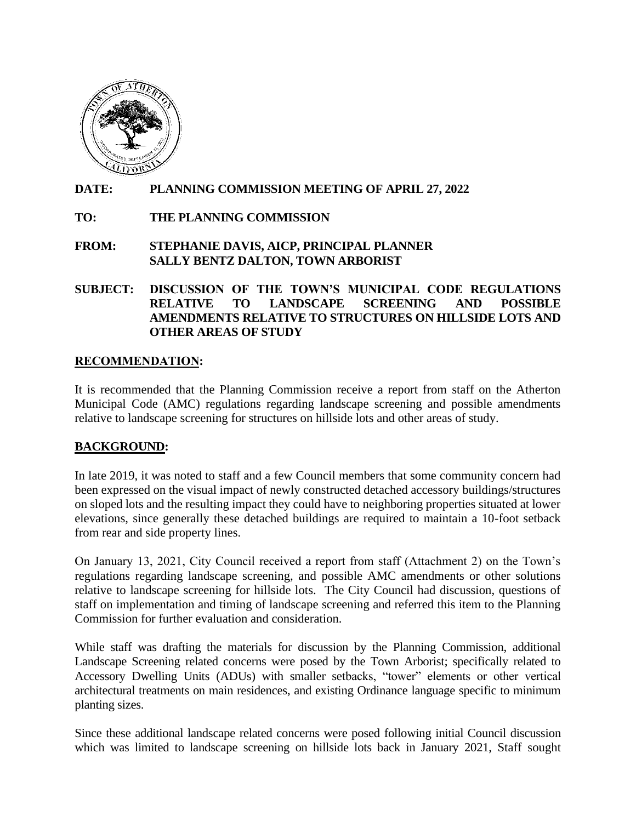

## **DATE: PLANNING COMMISSION MEETING OF APRIL 27, 2022**

## **TO: THE PLANNING COMMISSION**

#### **FROM: STEPHANIE DAVIS, AICP, PRINCIPAL PLANNER SALLY BENTZ DALTON, TOWN ARBORIST**

## **SUBJECT: DISCUSSION OF THE TOWN'S MUNICIPAL CODE REGULATIONS RELATIVE TO LANDSCAPE SCREENING AND POSSIBLE AMENDMENTS RELATIVE TO STRUCTURES ON HILLSIDE LOTS AND OTHER AREAS OF STUDY**

#### **RECOMMENDATION:**

It is recommended that the Planning Commission receive a report from staff on the Atherton Municipal Code (AMC) regulations regarding landscape screening and possible amendments relative to landscape screening for structures on hillside lots and other areas of study.

## **BACKGROUND:**

In late 2019, it was noted to staff and a few Council members that some community concern had been expressed on the visual impact of newly constructed detached accessory buildings/structures on sloped lots and the resulting impact they could have to neighboring properties situated at lower elevations, since generally these detached buildings are required to maintain a 10-foot setback from rear and side property lines.

On January 13, 2021, City Council received a report from staff (Attachment 2) on the Town's regulations regarding landscape screening, and possible AMC amendments or other solutions relative to landscape screening for hillside lots. The City Council had discussion, questions of staff on implementation and timing of landscape screening and referred this item to the Planning Commission for further evaluation and consideration.

While staff was drafting the materials for discussion by the Planning Commission, additional Landscape Screening related concerns were posed by the Town Arborist; specifically related to Accessory Dwelling Units (ADUs) with smaller setbacks, "tower" elements or other vertical architectural treatments on main residences, and existing Ordinance language specific to minimum planting sizes.

Since these additional landscape related concerns were posed following initial Council discussion which was limited to landscape screening on hillside lots back in January 2021, Staff sought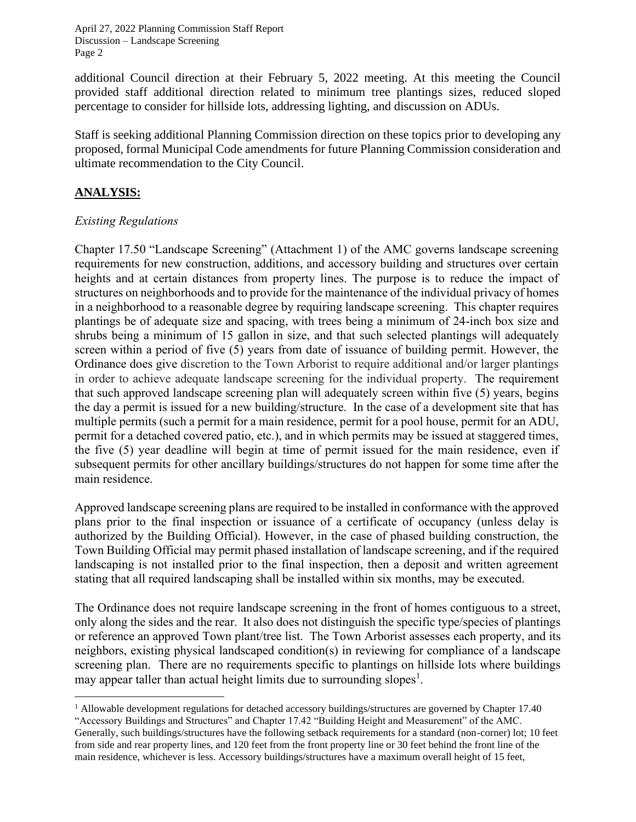additional Council direction at their February 5, 2022 meeting. At this meeting the Council provided staff additional direction related to minimum tree plantings sizes, reduced sloped percentage to consider for hillside lots, addressing lighting, and discussion on ADUs.

Staff is seeking additional Planning Commission direction on these topics prior to developing any proposed, formal Municipal Code amendments for future Planning Commission consideration and ultimate recommendation to the City Council.

## **ANALYSIS:**

## *Existing Regulations*

Chapter 17.50 "Landscape Screening" (Attachment 1) of the AMC governs landscape screening requirements for new construction, additions, and accessory building and structures over certain heights and at certain distances from property lines. The purpose is to reduce the impact of structures on neighborhoods and to provide for the maintenance of the individual privacy of homes in a neighborhood to a reasonable degree by requiring landscape screening. This chapter requires plantings be of adequate size and spacing, with trees being a minimum of 24-inch box size and shrubs being a minimum of 15 gallon in size, and that such selected plantings will adequately screen within a period of five (5) years from date of issuance of building permit. However, the Ordinance does give discretion to the Town Arborist to require additional and/or larger plantings in order to achieve adequate landscape screening for the individual property. The requirement that such approved landscape screening plan will adequately screen within five (5) years, begins the day a permit is issued for a new building/structure. In the case of a development site that has multiple permits (such a permit for a main residence, permit for a pool house, permit for an ADU, permit for a detached covered patio, etc.), and in which permits may be issued at staggered times, the five (5) year deadline will begin at time of permit issued for the main residence, even if subsequent permits for other ancillary buildings/structures do not happen for some time after the main residence.

Approved landscape screening plans are required to be installed in conformance with the approved plans prior to the final inspection or issuance of a certificate of occupancy (unless delay is authorized by the Building Official). However, in the case of phased building construction, the Town Building Official may permit phased installation of landscape screening, and if the required landscaping is not installed prior to the final inspection, then a deposit and written agreement stating that all required landscaping shall be installed within six months, may be executed.

The Ordinance does not require landscape screening in the front of homes contiguous to a street, only along the sides and the rear. It also does not distinguish the specific type/species of plantings or reference an approved Town plant/tree list. The Town Arborist assesses each property, and its neighbors, existing physical landscaped condition(s) in reviewing for compliance of a landscape screening plan. There are no requirements specific to plantings on hillside lots where buildings may appear taller than actual height limits due to surrounding slopes<sup>1</sup>.

<sup>&</sup>lt;sup>1</sup> Allowable development regulations for detached accessory buildings/structures are governed by Chapter 17.40 "Accessory Buildings and Structures" and Chapter 17.42 "Building Height and Measurement" of the AMC. Generally, such buildings/structures have the following setback requirements for a standard (non-corner) lot; 10 feet from side and rear property lines, and 120 feet from the front property line or 30 feet behind the front line of the main residence, whichever is less. Accessory buildings/structures have a maximum overall height of 15 feet,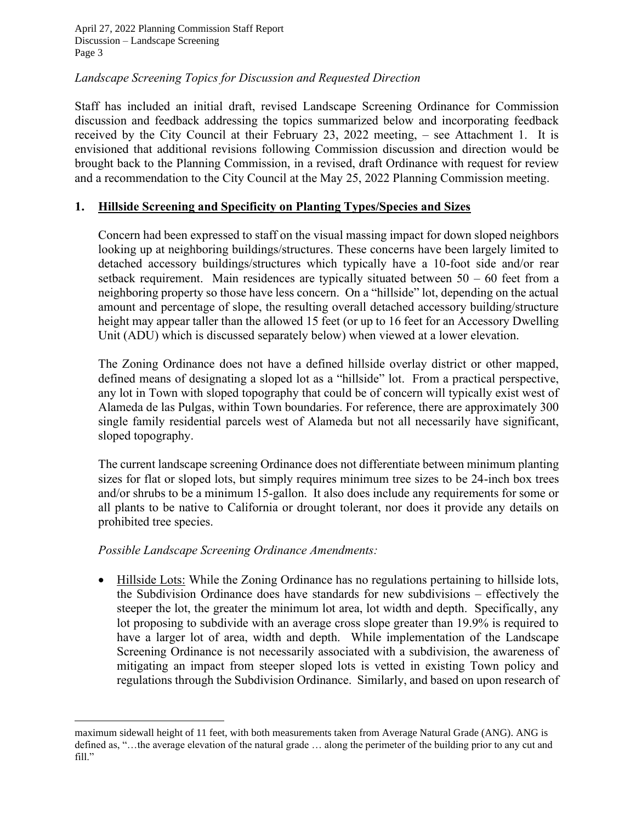#### *Landscape Screening Topics for Discussion and Requested Direction*

Staff has included an initial draft, revised Landscape Screening Ordinance for Commission discussion and feedback addressing the topics summarized below and incorporating feedback received by the City Council at their February 23, 2022 meeting, – see Attachment 1. It is envisioned that additional revisions following Commission discussion and direction would be brought back to the Planning Commission, in a revised, draft Ordinance with request for review and a recommendation to the City Council at the May 25, 2022 Planning Commission meeting.

#### **1. Hillside Screening and Specificity on Planting Types/Species and Sizes**

Concern had been expressed to staff on the visual massing impact for down sloped neighbors looking up at neighboring buildings/structures. These concerns have been largely limited to detached accessory buildings/structures which typically have a 10-foot side and/or rear setback requirement. Main residences are typically situated between  $50 - 60$  feet from a neighboring property so those have less concern. On a "hillside" lot, depending on the actual amount and percentage of slope, the resulting overall detached accessory building/structure height may appear taller than the allowed 15 feet (or up to 16 feet for an Accessory Dwelling Unit (ADU) which is discussed separately below) when viewed at a lower elevation.

The Zoning Ordinance does not have a defined hillside overlay district or other mapped, defined means of designating a sloped lot as a "hillside" lot. From a practical perspective, any lot in Town with sloped topography that could be of concern will typically exist west of Alameda de las Pulgas, within Town boundaries. For reference, there are approximately 300 single family residential parcels west of Alameda but not all necessarily have significant, sloped topography.

The current landscape screening Ordinance does not differentiate between minimum planting sizes for flat or sloped lots, but simply requires minimum tree sizes to be 24-inch box trees and/or shrubs to be a minimum 15-gallon. It also does include any requirements for some or all plants to be native to California or drought tolerant, nor does it provide any details on prohibited tree species.

#### *Possible Landscape Screening Ordinance Amendments:*

• Hillside Lots: While the Zoning Ordinance has no regulations pertaining to hillside lots, the Subdivision Ordinance does have standards for new subdivisions – effectively the steeper the lot, the greater the minimum lot area, lot width and depth. Specifically, any lot proposing to subdivide with an average cross slope greater than 19.9% is required to have a larger lot of area, width and depth. While implementation of the Landscape Screening Ordinance is not necessarily associated with a subdivision, the awareness of mitigating an impact from steeper sloped lots is vetted in existing Town policy and regulations through the Subdivision Ordinance. Similarly, and based on upon research of

maximum sidewall height of 11 feet, with both measurements taken from Average Natural Grade (ANG). ANG is defined as, "…the average elevation of the natural grade … along the perimeter of the building prior to any cut and fill."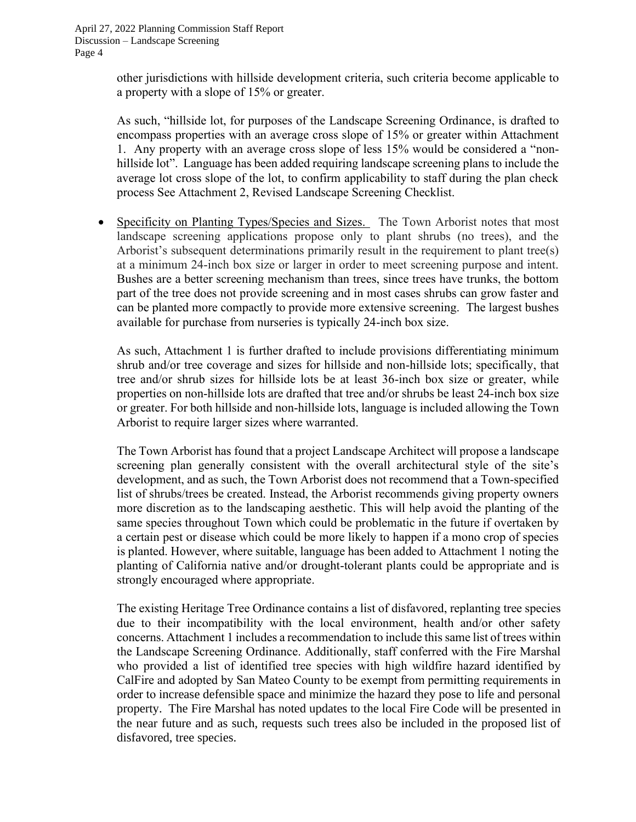other jurisdictions with hillside development criteria, such criteria become applicable to a property with a slope of 15% or greater.

As such, "hillside lot, for purposes of the Landscape Screening Ordinance, is drafted to encompass properties with an average cross slope of 15% or greater within Attachment 1. Any property with an average cross slope of less 15% would be considered a "nonhillside lot". Language has been added requiring landscape screening plans to include the average lot cross slope of the lot, to confirm applicability to staff during the plan check process See Attachment 2, Revised Landscape Screening Checklist.

Specificity on Planting Types/Species and Sizes. The Town Arborist notes that most landscape screening applications propose only to plant shrubs (no trees), and the Arborist's subsequent determinations primarily result in the requirement to plant tree(s) at a minimum 24-inch box size or larger in order to meet screening purpose and intent. Bushes are a better screening mechanism than trees, since trees have trunks, the bottom part of the tree does not provide screening and in most cases shrubs can grow faster and can be planted more compactly to provide more extensive screening. The largest bushes available for purchase from nurseries is typically 24-inch box size.

As such, Attachment 1 is further drafted to include provisions differentiating minimum shrub and/or tree coverage and sizes for hillside and non-hillside lots; specifically, that tree and/or shrub sizes for hillside lots be at least 36-inch box size or greater, while properties on non-hillside lots are drafted that tree and/or shrubs be least 24-inch box size or greater. For both hillside and non-hillside lots, language is included allowing the Town Arborist to require larger sizes where warranted.

The Town Arborist has found that a project Landscape Architect will propose a landscape screening plan generally consistent with the overall architectural style of the site's development, and as such, the Town Arborist does not recommend that a Town-specified list of shrubs/trees be created. Instead, the Arborist recommends giving property owners more discretion as to the landscaping aesthetic. This will help avoid the planting of the same species throughout Town which could be problematic in the future if overtaken by a certain pest or disease which could be more likely to happen if a mono crop of species is planted. However, where suitable, language has been added to Attachment 1 noting the planting of California native and/or drought-tolerant plants could be appropriate and is strongly encouraged where appropriate.

The existing Heritage Tree Ordinance contains a list of disfavored, replanting tree species due to their incompatibility with the local environment, health and/or other safety concerns. Attachment 1 includes a recommendation to include this same list of trees within the Landscape Screening Ordinance. Additionally, staff conferred with the Fire Marshal who provided a list of identified tree species with high wildfire hazard identified by CalFire and adopted by San Mateo County to be exempt from permitting requirements in order to increase defensible space and minimize the hazard they pose to life and personal property. The Fire Marshal has noted updates to the local Fire Code will be presented in the near future and as such, requests such trees also be included in the proposed list of disfavored, tree species.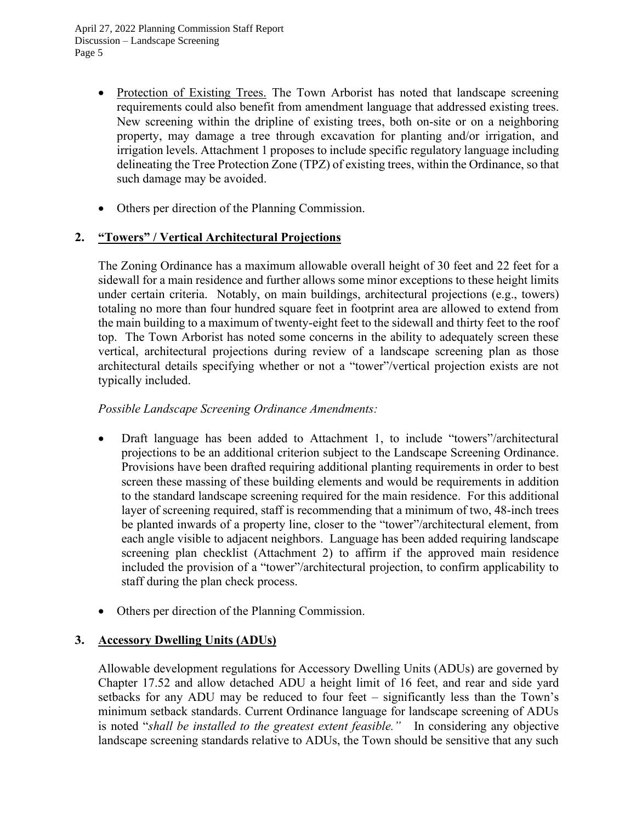- Protection of Existing Trees. The Town Arborist has noted that landscape screening requirements could also benefit from amendment language that addressed existing trees. New screening within the dripline of existing trees, both on-site or on a neighboring property, may damage a tree through excavation for planting and/or irrigation, and irrigation levels. Attachment 1 proposes to include specific regulatory language including delineating the Tree Protection Zone (TPZ) of existing trees, within the Ordinance, so that such damage may be avoided.
- Others per direction of the Planning Commission.

## **2. "Towers" / Vertical Architectural Projections**

The Zoning Ordinance has a maximum allowable overall height of 30 feet and 22 feet for a sidewall for a main residence and further allows some minor exceptions to these height limits under certain criteria. Notably, on main buildings, architectural projections (e.g., towers) totaling no more than four hundred square feet in footprint area are allowed to extend from the main building to a maximum of twenty-eight feet to the sidewall and thirty feet to the roof top. The Town Arborist has noted some concerns in the ability to adequately screen these vertical, architectural projections during review of a landscape screening plan as those architectural details specifying whether or not a "tower"/vertical projection exists are not typically included.

#### *Possible Landscape Screening Ordinance Amendments:*

- Draft language has been added to Attachment 1, to include "towers"/architectural projections to be an additional criterion subject to the Landscape Screening Ordinance. Provisions have been drafted requiring additional planting requirements in order to best screen these massing of these building elements and would be requirements in addition to the standard landscape screening required for the main residence. For this additional layer of screening required, staff is recommending that a minimum of two, 48-inch trees be planted inwards of a property line, closer to the "tower"/architectural element, from each angle visible to adjacent neighbors. Language has been added requiring landscape screening plan checklist (Attachment 2) to affirm if the approved main residence included the provision of a "tower"/architectural projection, to confirm applicability to staff during the plan check process.
- Others per direction of the Planning Commission.

## **3. Accessory Dwelling Units (ADUs)**

Allowable development regulations for Accessory Dwelling Units (ADUs) are governed by Chapter 17.52 and allow detached ADU a height limit of 16 feet, and rear and side yard setbacks for any ADU may be reduced to four feet – significantly less than the Town's minimum setback standards. Current Ordinance language for landscape screening of ADUs is noted "*shall be installed to the greatest extent feasible."* In considering any objective landscape screening standards relative to ADUs, the Town should be sensitive that any such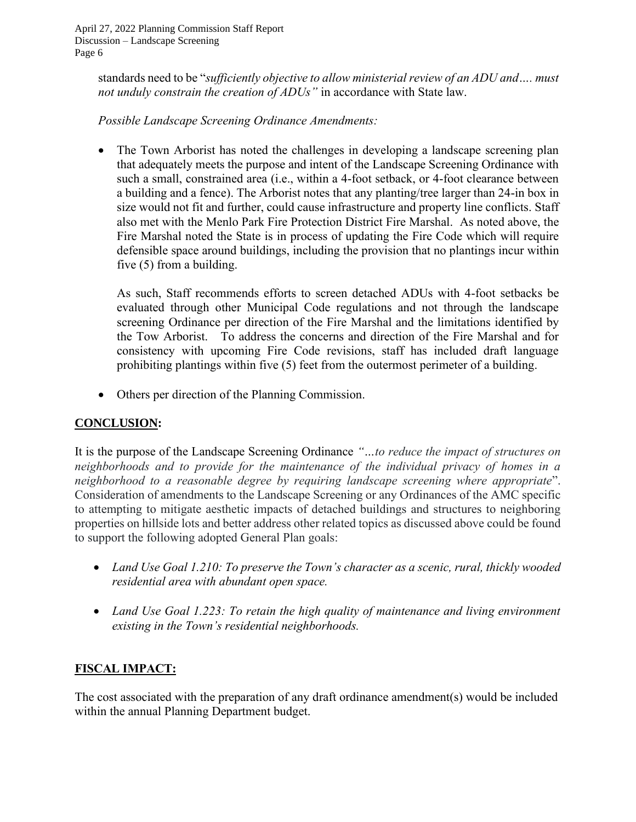standards need to be "*sufficiently objective to allow ministerial review of an ADU and…. must not unduly constrain the creation of ADUs"* in accordance with State law.

## *Possible Landscape Screening Ordinance Amendments:*

• The Town Arborist has noted the challenges in developing a landscape screening plan that adequately meets the purpose and intent of the Landscape Screening Ordinance with such a small, constrained area (i.e., within a 4-foot setback, or 4-foot clearance between a building and a fence). The Arborist notes that any planting/tree larger than 24-in box in size would not fit and further, could cause infrastructure and property line conflicts. Staff also met with the Menlo Park Fire Protection District Fire Marshal. As noted above, the Fire Marshal noted the State is in process of updating the Fire Code which will require defensible space around buildings, including the provision that no plantings incur within five (5) from a building.

As such, Staff recommends efforts to screen detached ADUs with 4-foot setbacks be evaluated through other Municipal Code regulations and not through the landscape screening Ordinance per direction of the Fire Marshal and the limitations identified by the Tow Arborist. To address the concerns and direction of the Fire Marshal and for consistency with upcoming Fire Code revisions, staff has included draft language prohibiting plantings within five (5) feet from the outermost perimeter of a building.

• Others per direction of the Planning Commission.

## **CONCLUSION:**

It is the purpose of the Landscape Screening Ordinance *"…to reduce the impact of structures on neighborhoods and to provide for the maintenance of the individual privacy of homes in a neighborhood to a reasonable degree by requiring landscape screening where appropriate*". Consideration of amendments to the Landscape Screening or any Ordinances of the AMC specific to attempting to mitigate aesthetic impacts of detached buildings and structures to neighboring properties on hillside lots and better address other related topics as discussed above could be found to support the following adopted General Plan goals:

- *Land Use Goal 1.210: To preserve the Town's character as a scenic, rural, thickly wooded residential area with abundant open space.*
- *Land Use Goal 1.223: To retain the high quality of maintenance and living environment existing in the Town's residential neighborhoods.*

## **FISCAL IMPACT:**

The cost associated with the preparation of any draft ordinance amendment(s) would be included within the annual Planning Department budget.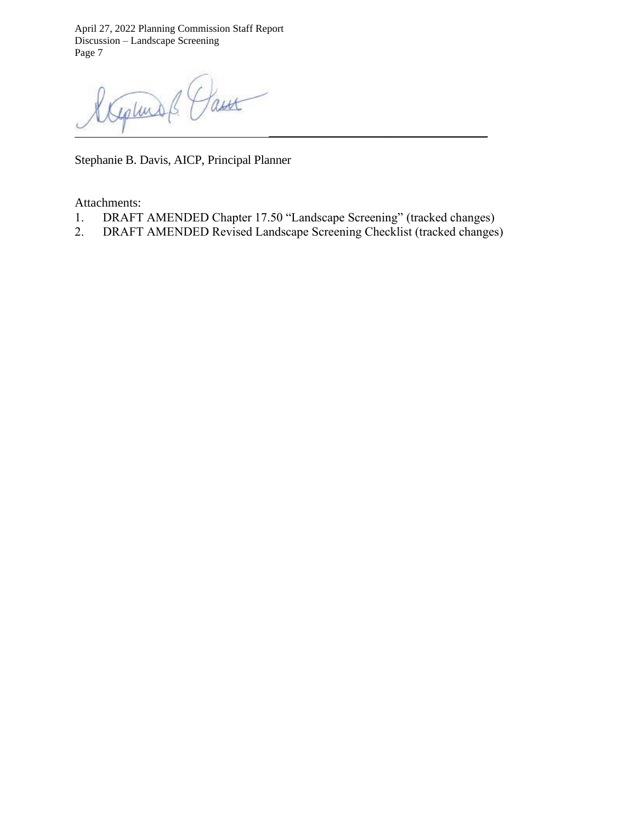Paux Germans *\_\_\_\_\_\_\_\_\_\_\_\_\_\_\_\_\_\_\_\_\_\_\_\_\_\_\_\_\_\_\_\_\_\_\_\_*

Stephanie B. Davis, AICP, Principal Planner

Attachments:

- 1. DRAFT AMENDED Chapter 17.50 "Landscape Screening" (tracked changes)
- 2. DRAFT AMENDED Revised Landscape Screening Checklist (tracked changes)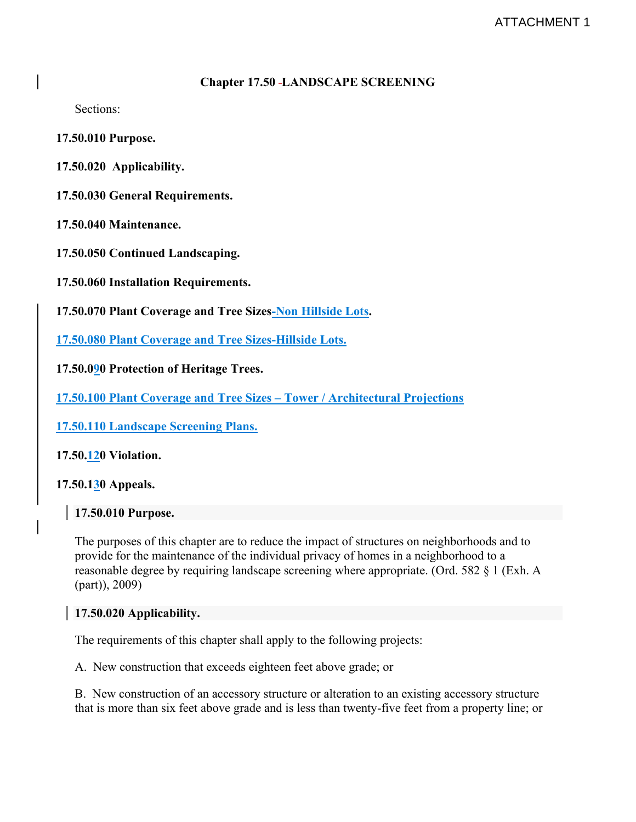#### **Chapter 17.50 LANDSCAPE SCREENING**

Sections:

**[17.50.010](https://atherton.municipal.codes/Code/17.50.010) Purpose.**

**[17.50.020 Applicability.](https://atherton.municipal.codes/Code/17.50.020)**

**17.50.030 General [Requirements.](https://atherton.municipal.codes/Code/17.50.030)**

**17.50.040 [Maintenance.](https://atherton.municipal.codes/Code/17.50.040)**

**17.50.050 Continued [Landscaping.](https://atherton.municipal.codes/Code/17.50.050)**

**17.50.060 Installation [Requirements.](https://atherton.municipal.codes/Code/17.50.060)**

**17.50.070 Plant Coverage and Tree [Sizes-Non](https://atherton.municipal.codes/Code/17.50.070) Hillside Lots.**

**17.50.080 Plant Coverage and Tree [Sizes-Hillside](https://atherton.municipal.codes/Code/17.50.070) Lots.**

**17.50.090 [Protection](https://atherton.municipal.codes/Code/17.50.080) of Heritage Trees.**

**17.50.100 Plant Coverage and Tree Sizes – Tower / Architectural Projections**

**17.50.110 Landscape Screening Plans.**

**17.50.120 [Violation.](https://atherton.municipal.codes/Code/17.50.090)**

**[17.50.130](https://atherton.municipal.codes/Code/17.50.100) Appeals.**

**17.50.010 Purpose.**

The purposes of this chapter are to reduce the impact of structures on neighborhoods and to provide for the maintenance of the individual privacy of homes in a neighborhood to a reasonable degree by requiring landscape screening where appropriate. (Ord. 582 § 1 (Exh. A (part)), 2009)

#### **17.50.020 Applicability.**

The requirements of this chapter shall apply to the following projects:

A. New construction that exceeds eighteen feet above grade; or

B. New construction of an accessory structure or alteration to an existing accessory structure that is more than six feet above grade and is less than twenty-five feet from a property line; or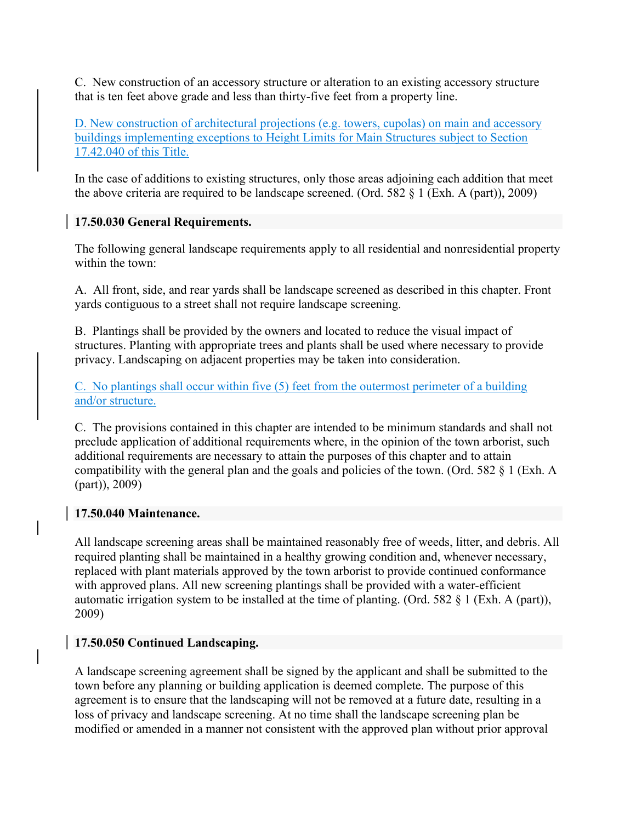C. New construction of an accessory structure or alteration to an existing accessory structure that is ten feet above grade and less than thirty-five feet from a property line.

D. New construction of architectural projections (e.g. towers, cupolas) on main and accessory buildings implementing exceptions to Height Limits for Main Structures subject to Section 17.42.040 of this Title.

In the case of additions to existing structures, only those areas adjoining each addition that meet the above criteria are required to be landscape screened. (Ord. 582 § 1 (Exh. A (part)), 2009)

## **17.50.030 General Requirements.**

The following general landscape requirements apply to all residential and nonresidential property within the town:

A. All front, side, and rear yards shall be landscape screened as described in this chapter. Front yards contiguous to a street shall not require landscape screening.

B. Plantings shall be provided by the owners and located to reduce the visual impact of structures. Planting with appropriate trees and plants shall be used where necessary to provide privacy. Landscaping on adjacent properties may be taken into consideration.

C. No plantings shall occur within five (5) feet from the outermost perimeter of a building and/or structure.

C. The provisions contained in this chapter are intended to be minimum standards and shall not preclude application of additional requirements where, in the opinion of the town arborist, such additional requirements are necessary to attain the purposes of this chapter and to attain compatibility with the general plan and the goals and policies of the town. (Ord. 582 § 1 (Exh. A (part)), 2009)

## **17.50.040 Maintenance.**

All landscape screening areas shall be maintained reasonably free of weeds, litter, and debris. All required planting shall be maintained in a healthy growing condition and, whenever necessary, replaced with plant materials approved by the town arborist to provide continued conformance with approved plans. All new screening plantings shall be provided with a water-efficient automatic irrigation system to be installed at the time of planting. (Ord. 582 § 1 (Exh. A (part)), 2009)

## **17.50.050 Continued Landscaping.**

A landscape screening agreement shall be signed by the applicant and shall be submitted to the town before any planning or building application is deemed complete. The purpose of this agreement is to ensure that the landscaping will not be removed at a future date, resulting in a loss of privacy and landscape screening. At no time shall the landscape screening plan be modified or amended in a manner not consistent with the approved plan without prior approval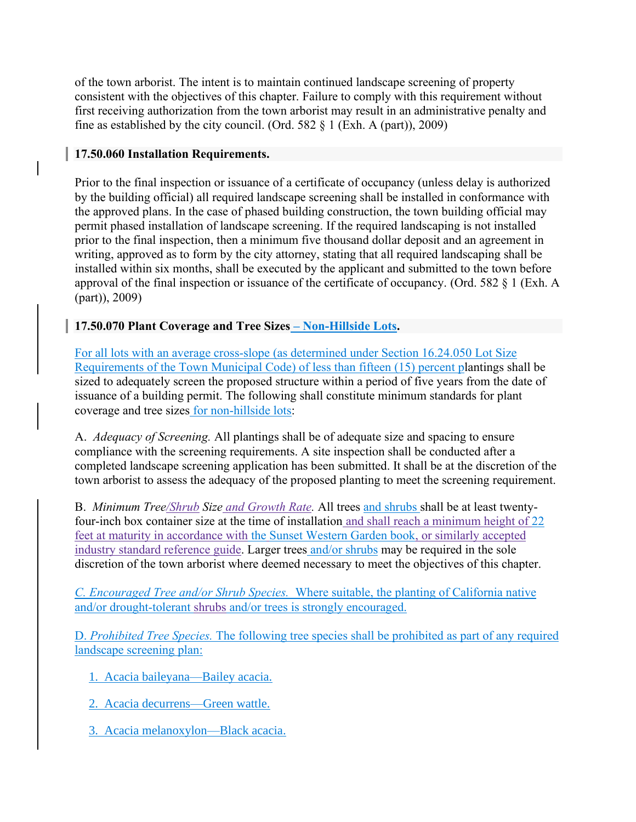of the town arborist. The intent is to maintain continued landscape screening of property consistent with the objectives of this chapter. Failure to comply with this requirement without first receiving authorization from the town arborist may result in an administrative penalty and fine as established by the city council. (Ord. 582  $\S$  1 (Exh. A (part)), 2009)

## **17.50.060 Installation Requirements.**

Prior to the final inspection or issuance of a certificate of occupancy (unless delay is authorized by the building official) all required landscape screening shall be installed in conformance with the approved plans. In the case of phased building construction, the town building official may permit phased installation of landscape screening. If the required landscaping is not installed prior to the final inspection, then a minimum five thousand dollar deposit and an agreement in writing, approved as to form by the city attorney, stating that all required landscaping shall be installed within six months, shall be executed by the applicant and submitted to the town before approval of the final inspection or issuance of the certificate of occupancy. (Ord. 582 § 1 (Exh. A (part)), 2009)

## **17.50.070 Plant Coverage and Tree Sizes – Non-Hillside Lots.**

For all lots with an average cross-slope (as determined under Section 16.24.050 Lot Size Requirements of the Town Municipal Code) of less than fifteen (15) percent plantings shall be sized to adequately screen the proposed structure within a period of five years from the date of issuance of a building permit. The following shall constitute minimum standards for plant coverage and tree sizes for non-hillside lots:

A. *Adequacy of Screening.* All plantings shall be of adequate size and spacing to ensure compliance with the screening requirements. A site inspection shall be conducted after a completed landscape screening application has been submitted. It shall be at the discretion of the town arborist to assess the adequacy of the proposed planting to meet the screening requirement.

B. *Minimum Tree/Shrub Size and Growth Rate.* All trees and shrubs shall be at least twentyfour-inch box container size at the time of installation and shall reach a minimum height of 22 feet at maturity in accordance with the Sunset Western Garden book, or similarly accepted industry standard reference guide. Larger trees and/or shrubs may be required in the sole discretion of the town arborist where deemed necessary to meet the objectives of this chapter.

*C. Encouraged Tree and/or Shrub Species.* Where suitable, the planting of California native and/or drought-tolerant shrubs and/or trees is strongly encouraged.

D. *Prohibited Tree Species.* The following tree species shall be prohibited as part of any required landscape screening plan:

- 1. Acacia baileyana—Bailey acacia.
- 2. Acacia decurrens—Green wattle.
- 3. Acacia melanoxylon—Black acacia.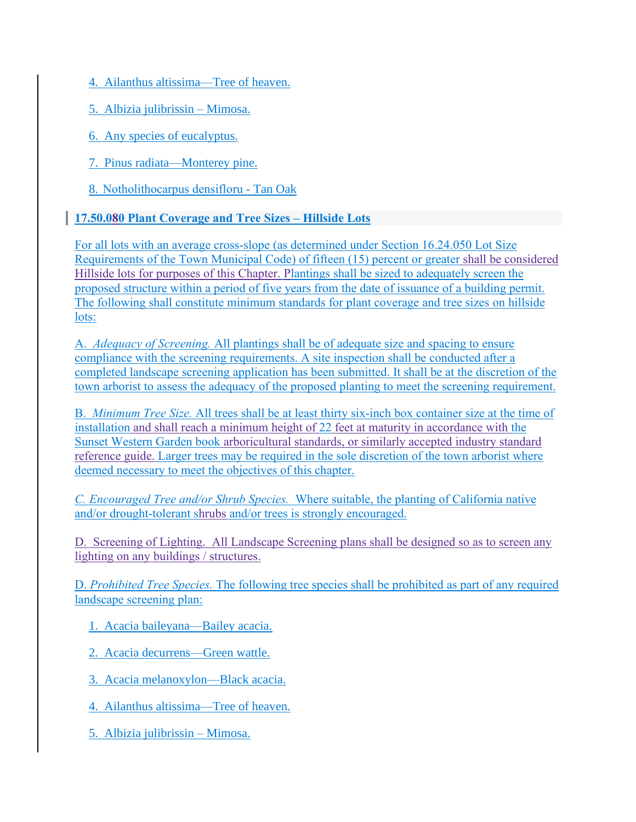4. Ailanthus altissima—Tree of heaven.

5. Albizia julibrissin – Mimosa.

6. Any species of eucalyptus.

7. Pinus radiata—Monterey pine.

8. Notholithocarpus densifloru - Tan Oak

## **17.50.080 Plant Coverage and Tree Sizes – Hillside Lots**

For all lots with an average cross-slope (as determined under Section 16.24.050 Lot Size Requirements of the Town Municipal Code) of fifteen (15) percent or greater shall be considered Hillside lots for purposes of this Chapter. Plantings shall be sized to adequately screen the proposed structure within a period of five years from the date of issuance of a building permit. The following shall constitute minimum standards for plant coverage and tree sizes on hillside lots:

A. *Adequacy of Screening.* All plantings shall be of adequate size and spacing to ensure compliance with the screening requirements. A site inspection shall be conducted after a completed landscape screening application has been submitted. It shall be at the discretion of the town arborist to assess the adequacy of the proposed planting to meet the screening requirement.

B. *Minimum Tree Size.* All trees shall be at least thirty six-inch box container size at the time of installation and shall reach a minimum height of 22 feet at maturity in accordance with the Sunset Western Garden book arboricultural standards, or similarly accepted industry standard reference guide. Larger trees may be required in the sole discretion of the town arborist where deemed necessary to meet the objectives of this chapter.

*C. Encouraged Tree and/or Shrub Species.* Where suitable, the planting of California native and/or drought-tolerant shrubs and/or trees is strongly encouraged.

D. Screening of Lighting. All Landscape Screening plans shall be designed so as to screen any lighting on any buildings / structures.

D. *Prohibited Tree Species.* The following tree species shall be prohibited as part of any required landscape screening plan:

1. Acacia baileyana—Bailey acacia.

2. Acacia decurrens—Green wattle.

3. Acacia melanoxylon—Black acacia.

4. Ailanthus altissima—Tree of heaven.

5. Albizia julibrissin – Mimosa.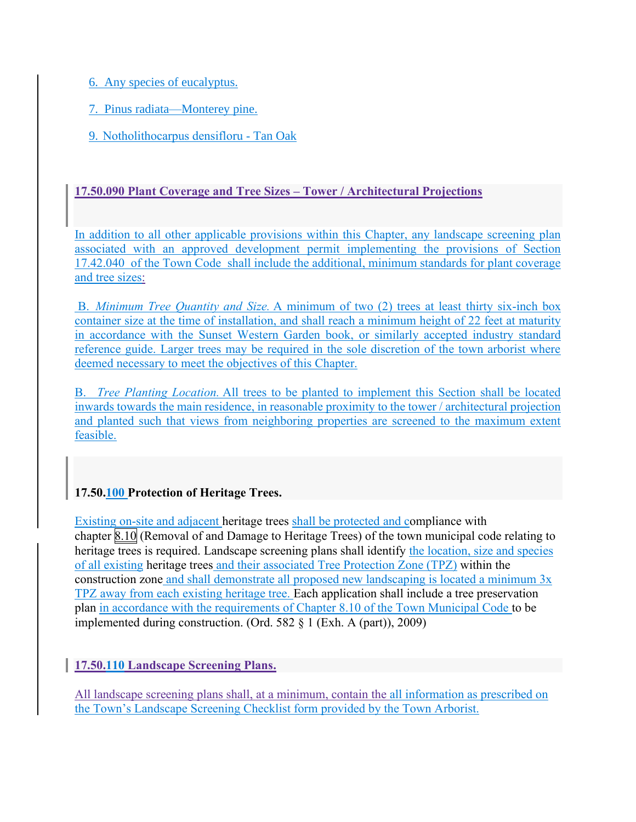6. Any species of eucalyptus.

7. Pinus radiata—Monterey pine.

9. Notholithocarpus densifloru - Tan Oak

## **17.50.090 Plant Coverage and Tree Sizes – Tower / Architectural Projections**

In addition to all other applicable provisions within this Chapter, any landscape screening plan associated with an approved development permit implementing the provisions of Section 17.42.040 of the Town Code shall include the additional, minimum standards for plant coverage and tree sizes:

B. *Minimum Tree Quantity and Size.* A minimum of two (2) trees at least thirty six-inch box container size at the time of installation, and shall reach a minimum height of 22 feet at maturity in accordance with the Sunset Western Garden book, or similarly accepted industry standard reference guide. Larger trees may be required in the sole discretion of the town arborist where deemed necessary to meet the objectives of this Chapter.

B. *Tree Planting Location.* All trees to be planted to implement this Section shall be located inwards towards the main residence, in reasonable proximity to the tower / architectural projection and planted such that views from neighboring properties are screened to the maximum extent feasible.

## **17.50.100 Protection of Heritage Trees.**

Existing on-site and adjacent heritage trees shall be protected and compliance with chapter [8.10](https://atherton.municipal.codes/Code/8.10) (Removal of and Damage to Heritage Trees) of the town municipal code relating to heritage trees is required. Landscape screening plans shall identify the location, size and species of all existing heritage trees and their associated Tree Protection Zone (TPZ) within the construction zone and shall demonstrate all proposed new landscaping is located a minimum 3x TPZ away from each existing heritage tree. Each application shall include a tree preservation plan in accordance with the requirements of Chapter 8.10 of the Town Municipal Code to be implemented during construction. (Ord. 582 § 1 (Exh. A (part)), 2009)

**17.50.110 Landscape Screening Plans.**

All landscape screening plans shall, at a minimum, contain the all information as prescribed on the Town's Landscape Screening Checklist form provided by the Town Arborist.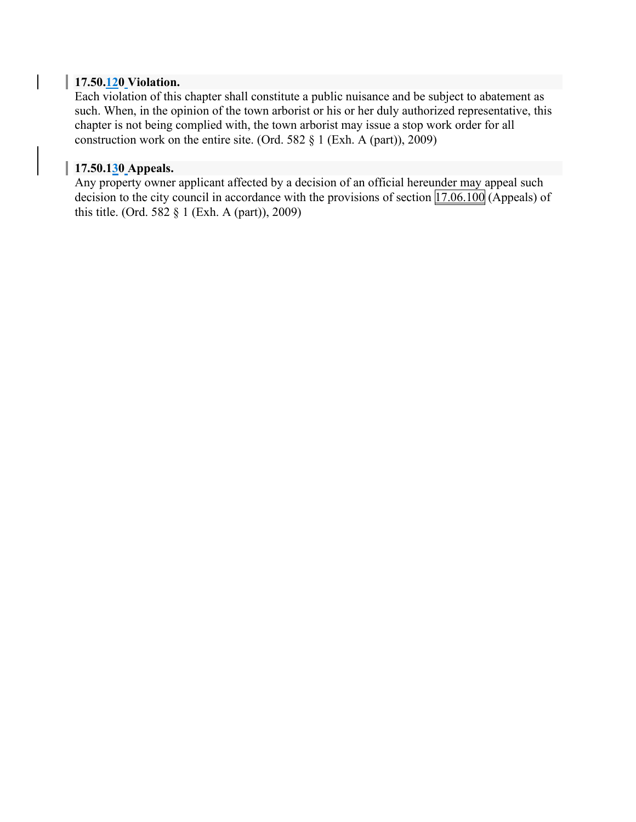#### **17.50.120 Violation.**

 $\overline{\phantom{a}}$ 

Each violation of this chapter shall constitute a public nuisance and be subject to abatement as such. When, in the opinion of the town arborist or his or her duly authorized representative, this chapter is not being complied with, the town arborist may issue a stop work order for all construction work on the entire site. (Ord. 582 § 1 (Exh. A (part)), 2009)

#### **17.50.130 Appeals.**

Any property owner applicant affected by a decision of an official hereunder may appeal such decision to the city council in accordance with the provisions of section  $\boxed{17.06.100}$  $\boxed{17.06.100}$  $\boxed{17.06.100}$  (Appeals) of this title. (Ord. 582 § 1 (Exh. A (part)), 2009)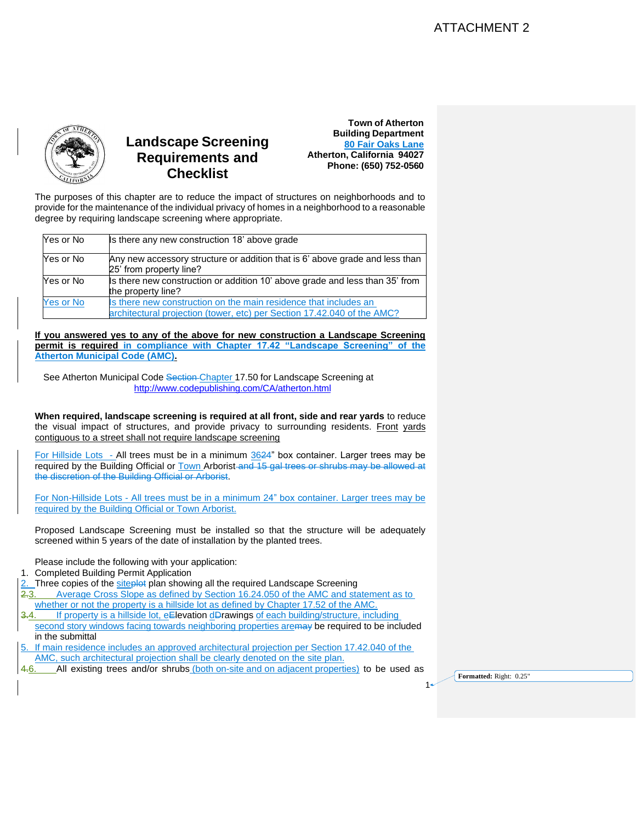

# **Landscape Screening Requirements and Checklist**



The purposes of this chapter are to reduce the impact of structures on neighborhoods and to provide for the maintenance of the individual privacy of homes in a neighborhood to a reasonable degree by requiring landscape screening where appropriate.

| Yes or No        | Is there any new construction 18' above grade                                                                                               |
|------------------|---------------------------------------------------------------------------------------------------------------------------------------------|
| Yes or No        | Any new accessory structure or addition that is 6' above grade and less than<br>25' from property line?                                     |
| Yes or No        | Is there new construction or addition 10' above grade and less than 35' from<br>the property line?                                          |
| <b>Yes or No</b> | Is there new construction on the main residence that includes an<br>architectural projection (tower, etc) per Section 17.42.040 of the AMC? |

**If you answered yes to any of the above for new construction a Landscape Screening permit is required in compliance with Chapter 17.42 "Landscape Screening" of the Atherton Municipal Code (AMC).**

See Atherton Municipal Code Section Chapter 17.50 for Landscape Screening at <http://www.codepublishing.com/CA/atherton.html>

**When required, landscape screening is required at all front, side and rear yards** to reduce the visual impact of structures, and provide privacy to surrounding residents. Front yards contiguous to a street shall not require landscape screening

For Hillside Lots - All trees must be in a minimum 3624" box container. Larger trees may be required by the Building Official or Town Arborist and 15 gal trees or shrubs may be allowed at the discretion of the Building Official or Arborist.

For Non-Hillside Lots - All trees must be in a minimum 24" box container. Larger trees may be required by the Building Official or Town Arborist.

Proposed Landscape Screening must be installed so that the structure will be adequately screened within 5 years of the date of installation by the planted trees.

Please include the following with your application:

- 1. Completed Building Permit Application
- Three copies of the siteplot plan showing all the required Landscape Screening

2.3. Average Cross Slope as defined by Section 16.24.050 of the AMC and statement as to whether or not the property is a hillside lot as defined by Chapter 17.52 of the AMC.

- If property is a hillside lot, eElevation dDrawings of each building/structure, including second story windows facing towards neighboring properties are may be required to be included in the submittal
- 5. If main residence includes an approved architectural projection per Section 17.42.040 of the AMC, such architectural projection shall be clearly denoted on the site plan.
- 4.6. All existing trees and/or shrubs (both on-site and on adjacent properties) to be used as

**Formatted:** Right: 0.25"

1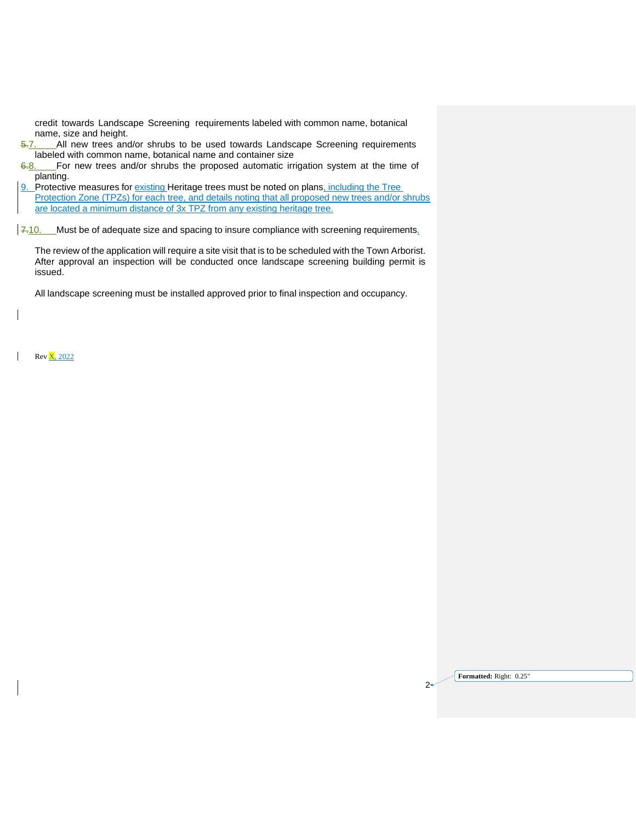credit towards Landscape Screening requirements labeled with common name, botanical name, size and height.

- 5.7. All new trees and/or shrubs to be used towards Landscape Screening requirements labeled with common name, botanical name and container size  $\frac{6-8}{10}$ . For new trees and/or shrubs the proposed automatic irr
- For new trees and/or shrubs the proposed automatic irrigation system at the time of planting.
- 9. Protective measures for existing Heritage trees must be noted on plans, including the Tree Protection Zone (TPZs) for each tree, and details noting that all proposed new trees and/or shrubs are located a minimum distance of 3x TPZ from any existing heritage tree.

 $\sqrt{7.10}$ . Must be of adequate size and spacing to insure compliance with screening requirements.

The review of the application will require a site visit that is to be scheduled with the Town Arborist. After approval an inspection will be conducted once landscape screening building permit is issued.

All landscape screening must be installed approved prior to final inspection and occupancy.

Rev X, 2022

| Formatted: Right: 0.25" |
|-------------------------|
|                         |